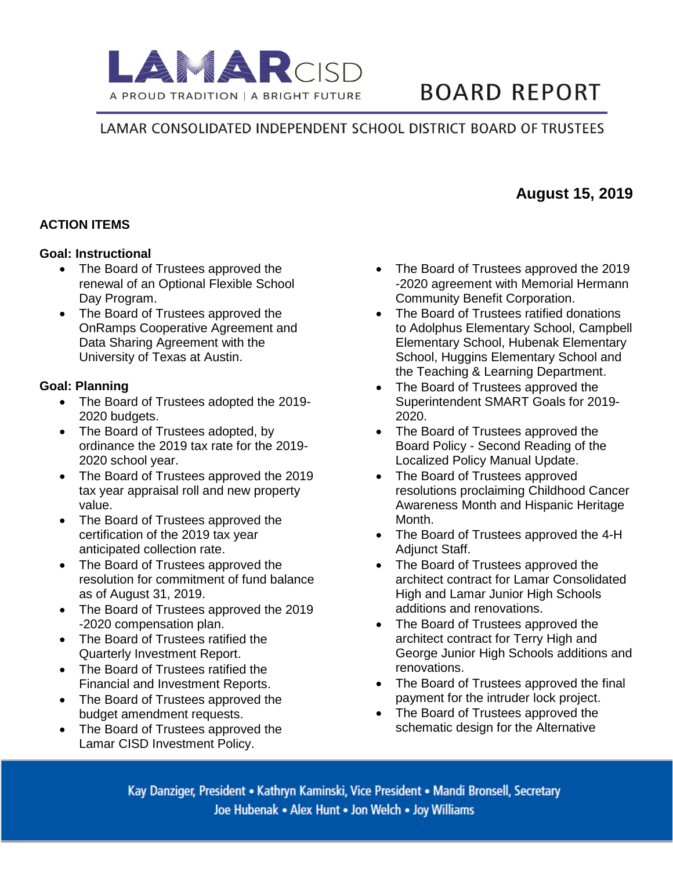

# **BOARD REPORT**

## LAMAR CONSOLIDATED INDEPENDENT SCHOOL DISTRICT BOARD OF TRUSTEES

#### **ACTION ITEMS**

#### **Goal: Instructional**

- The Board of Trustees approved the renewal of an Optional Flexible School Day Program.
- The Board of Trustees approved the OnRamps Cooperative Agreement and Data Sharing Agreement with the University of Texas at Austin.

#### **Goal: Planning**

- The Board of Trustees adopted the 2019- 2020 budgets.
- The Board of Trustees adopted, by ordinance the 2019 tax rate for the 2019- 2020 school year.
- The Board of Trustees approved the 2019 tax year appraisal roll and new property value.
- The Board of Trustees approved the certification of the 2019 tax year anticipated collection rate.
- The Board of Trustees approved the resolution for commitment of fund balance as of August 31, 2019.
- The Board of Trustees approved the 2019 -2020 compensation plan.
- The Board of Trustees ratified the Quarterly Investment Report.
- The Board of Trustees ratified the Financial and Investment Reports.
- The Board of Trustees approved the budget amendment requests.
- The Board of Trustees approved the Lamar CISD Investment Policy.
- The Board of Trustees approved the 2019 -2020 agreement with Memorial Hermann Community Benefit Corporation.
- The Board of Trustees ratified donations to Adolphus Elementary School, Campbell Elementary School, Hubenak Elementary School, Huggins Elementary School and the Teaching & Learning Department.
- The Board of Trustees approved the Superintendent SMART Goals for 2019- 2020.
- The Board of Trustees approved the Board Policy - Second Reading of the Localized Policy Manual Update.
- The Board of Trustees approved resolutions proclaiming Childhood Cancer Awareness Month and Hispanic Heritage Month.
- The Board of Trustees approved the 4-H Adjunct Staff.
- The Board of Trustees approved the architect contract for Lamar Consolidated High and Lamar Junior High Schools additions and renovations.
- The Board of Trustees approved the architect contract for Terry High and George Junior High Schools additions and renovations.
- The Board of Trustees approved the final payment for the intruder lock project.
- The Board of Trustees approved the schematic design for the Alternative

Kay Danziger, President • Kathryn Kaminski, Vice President • Mandi Bronsell, Secretary Joe Hubenak . Alex Hunt . Jon Welch . Joy Williams

# **August 15, 2019**